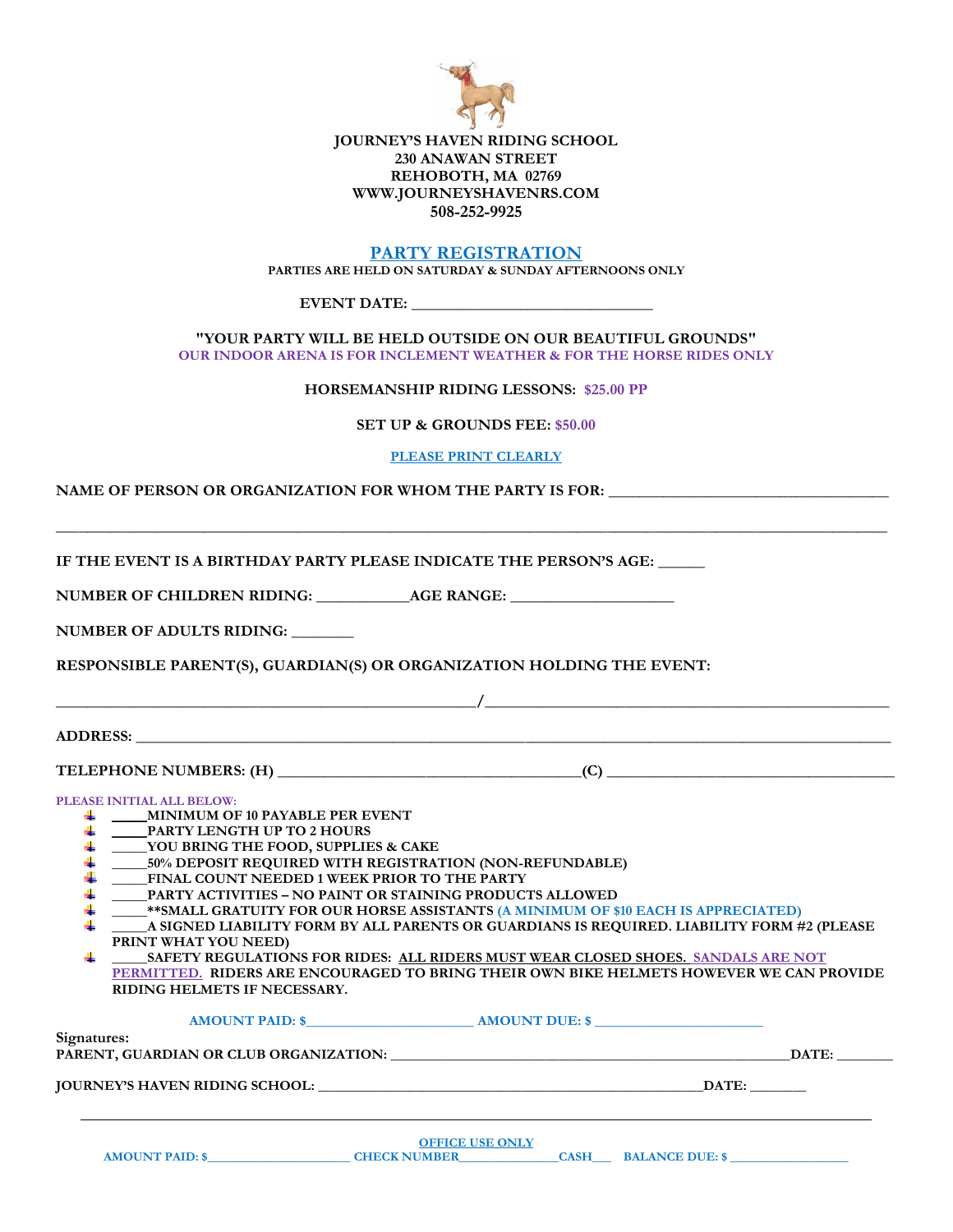

## **JOURNEY'S HAVEN RIDING SCHOOL 230 ANAWAN STREET REHOBOTH, MA 02769 WWW.JOURNEYSHAVENRS.COM 508-252-9925**

# **PARTY REGISTRATION**

**PARTIES ARE HELD ON SATURDAY & SUNDAY AFTERNOONS ONLY**

**EVENT DATE: \_\_\_\_\_\_\_\_\_\_\_\_\_\_\_\_\_\_\_\_\_\_\_\_\_\_\_\_\_\_\_**

**"YOUR PARTY WILL BE HELD OUTSIDE ON OUR BEAUTIFUL GROUNDS" OUR INDOOR ARENA IS FOR INCLEMENT WEATHER & FOR THE HORSE RIDES ONLY** 

**HORSEMANSHIP RIDING LESSONS: \$25.00 PP**

**SET UP & GROUNDS FEE: \$50.00** 

**PLEASE PRINT CLEARLY**

NAME OF PERSON OR ORGANIZATION FOR WHOM THE PARTY IS FOR:

**\_\_\_\_\_\_\_\_\_\_\_\_\_\_\_\_\_\_\_\_\_\_\_\_\_\_\_\_\_\_\_\_\_\_\_\_\_\_\_\_\_\_\_\_\_\_\_\_\_\_\_\_\_\_\_\_\_\_\_\_\_\_\_\_\_\_\_\_\_\_\_\_\_\_\_\_\_\_\_\_\_\_\_\_\_\_\_\_\_\_\_\_\_\_\_\_\_\_\_\_\_\_\_\_\_\_\_ IF THE EVENT IS A BIRTHDAY PARTY PLEASE INDICATE THE PERSON'S AGE: \_\_\_\_\_\_ NUMBER OF CHILDREN RIDING: \_\_\_\_\_\_\_\_\_\_\_\_AGE RANGE: \_\_\_\_\_\_\_\_\_\_\_\_\_\_\_\_\_\_\_\_\_ NUMBER OF ADULTS RIDING: \_\_\_\_\_\_\_\_ RESPONSIBLE PARENT(S), GUARDIAN(S) OR ORGANIZATION HOLDING THE EVENT:**   $\frac{1}{2}$  , the state of the state of the state of the state of the state of the state of the state of the state of the state of the state of the state of the state of the state of the state of the state of the state of t **ADDRESS: \_\_\_\_\_\_\_\_\_\_\_\_\_\_\_\_\_\_\_\_\_\_\_\_\_\_\_\_\_\_\_\_\_\_\_\_\_\_\_\_\_\_\_\_\_\_\_\_\_\_\_\_\_\_\_\_\_\_\_\_\_\_\_\_\_\_\_\_\_\_\_\_\_\_\_\_\_\_\_\_\_\_\_\_\_\_\_\_\_\_\_\_\_\_\_\_\_ TELEPHONE NUMBERS: (H) \_\_\_\_\_\_\_\_\_\_\_\_\_\_\_\_\_\_\_\_\_\_\_\_\_\_\_\_\_\_\_\_\_\_\_\_\_\_\_(C) \_\_\_\_\_\_\_\_\_\_\_\_\_\_\_\_\_\_\_\_\_\_\_\_\_\_\_\_\_\_\_\_\_\_\_\_\_ PLEASE INITIAL ALL BELOW: \_\_\_\_\_MINIMUM OF 10 PAYABLE PER EVENT** ₩., **\_\_\_\_\_PARTY LENGTH UP TO 2 HOURS** 4 **\_\_\_\_\_YOU BRING THE FOOD, SUPPLIES & CAKE** 4 **\_\_\_\_\_50% DEPOSIT REQUIRED WITH REGISTRATION (NON-REFUNDABLE)** 4 **\_\_\_\_\_FINAL COUNT NEEDED 1 WEEK PRIOR TO THE PARTY \_\_\_\_\_PARTY ACTIVITIES – NO PAINT OR STAINING PRODUCTS ALLOWED \_\_\_\_\_\*\*SMALL GRATUITY FOR OUR HORSE ASSISTANTS (A MINIMUM OF \$10 EACH IS APPRECIATED) \_\_\_\_\_A SIGNED LIABILITY FORM BY ALL PARENTS OR GUARDIANS IS REQUIRED. LIABILITY FORM #2 (PLEASE PRINT WHAT YOU NEED) \_\_\_\_\_SAFETY REGULATIONS FOR RIDES: ALL RIDERS MUST WEAR CLOSED SHOES. SANDALS ARE NOT PERMITTED. RIDERS ARE ENCOURAGED TO BRING THEIR OWN BIKE HELMETS HOWEVER WE CAN PROVIDE RIDING HELMETS IF NECESSARY. AMOUNT PAID: \$\_\_\_\_\_\_\_\_\_\_\_\_\_\_\_\_\_\_\_\_\_\_\_\_ AMOUNT DUE: \$ \_\_\_\_\_\_\_\_\_\_\_\_\_\_\_\_\_\_\_\_\_\_\_\_ Signatures: PARENT, GUARDIAN OR CLUB ORGANIZATION: \_\_\_\_\_\_\_\_\_\_\_\_\_\_\_\_\_\_\_\_\_\_\_\_\_\_\_\_\_\_\_\_\_\_\_\_\_\_\_\_\_\_\_\_\_\_\_\_\_\_\_\_\_\_\_\_\_DATE: \_\_\_\_\_\_\_\_ JOURNEY'S HAVEN RIDING SCHOOL: \_\_\_\_\_\_\_\_\_\_\_\_\_\_\_\_\_\_\_\_\_\_\_\_\_\_\_\_\_\_\_\_\_\_\_\_\_\_\_\_\_\_\_\_\_\_\_\_\_\_\_\_\_\_\_DATE: \_\_\_\_\_\_\_\_ \_\_\_\_\_\_\_\_\_\_\_\_\_\_\_\_\_\_\_\_\_\_\_\_\_\_\_\_\_\_\_\_\_\_\_\_\_\_\_\_\_\_\_\_\_\_\_\_\_\_\_\_\_\_\_\_\_\_\_\_\_\_\_\_\_\_\_\_\_\_\_\_\_\_\_\_\_\_\_\_\_\_\_\_\_\_\_\_\_\_\_\_\_\_\_\_\_\_\_\_\_\_\_\_\_\_\_\_\_\_\_\_\_\_\_\_\_\_\_\_\_\_\_\_\_\_\_**

| <b>OFFICE USE ONLY</b> |                     |      |                        |  |  |
|------------------------|---------------------|------|------------------------|--|--|
| <b>AMOUNT PAID: \$</b> | <b>CHECK NUMBER</b> | CASH | <b>BALANCE DUE: \$</b> |  |  |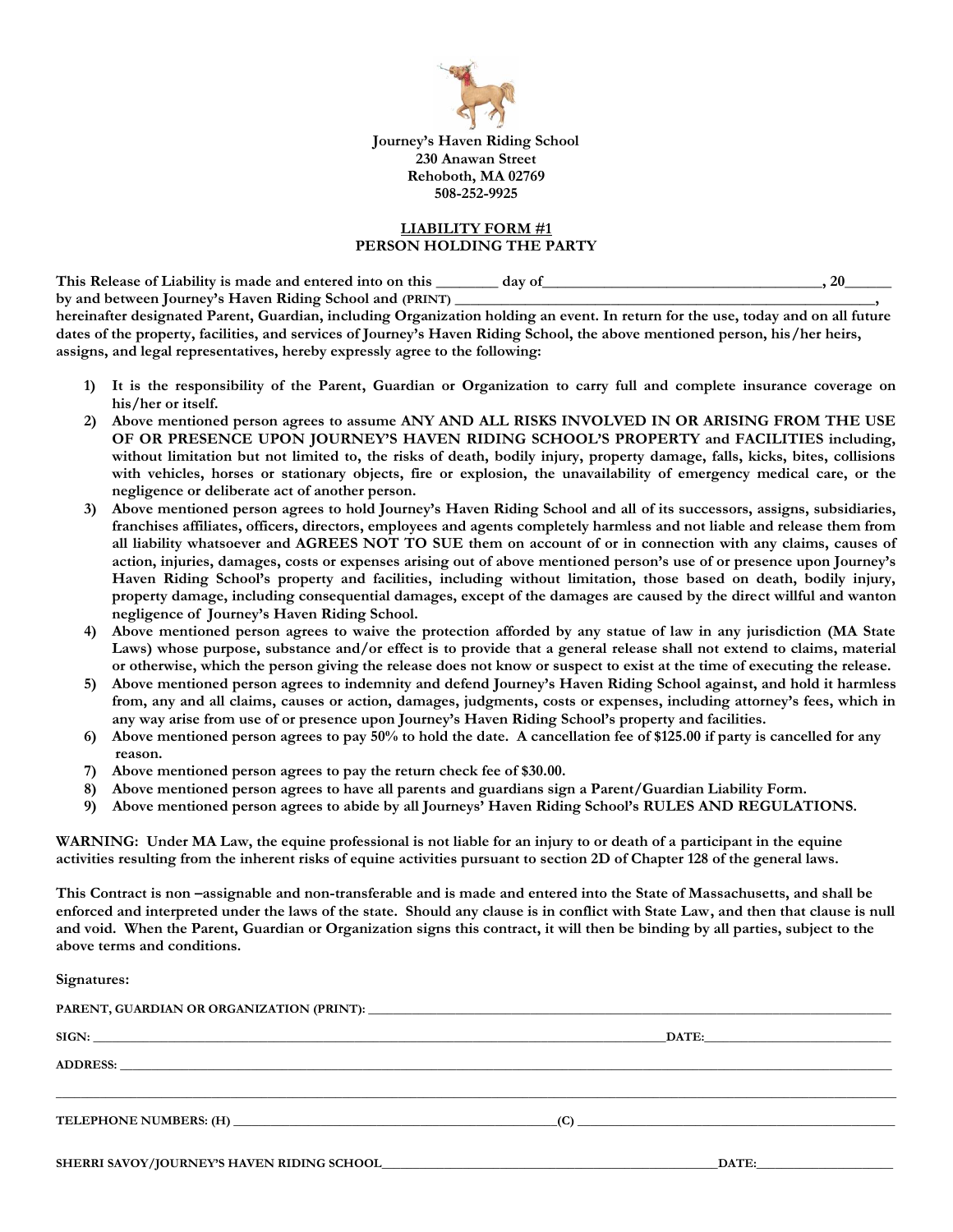

**Journey's Haven Riding School 230 Anawan Street Rehoboth, MA 02769 508-252-9925**

## **LIABILITY FORM #1 PERSON HOLDING THE PARTY**

**This Release of Liability is made and entered into on this \_\_\_\_\_\_\_\_ day of\_\_\_\_\_\_\_\_\_\_\_\_\_\_\_\_\_\_\_\_\_\_\_\_\_\_\_\_\_\_\_\_\_\_\_\_, 20\_\_\_\_\_\_**  by and between Journey's Haven Riding School and (PRINT) \_\_\_\_\_\_\_\_\_\_\_\_\_\_\_\_\_\_\_\_\_\_\_\_

**hereinafter designated Parent, Guardian, including Organization holding an event. In return for the use, today and on all future dates of the property, facilities, and services of Journey's Haven Riding School, the above mentioned person, his/her heirs, assigns, and legal representatives, hereby expressly agree to the following:**

- **1) It is the responsibility of the Parent, Guardian or Organization to carry full and complete insurance coverage on his/her or itself.**
- **2) Above mentioned person agrees to assume ANY AND ALL RISKS INVOLVED IN OR ARISING FROM THE USE OF OR PRESENCE UPON JOURNEY'S HAVEN RIDING SCHOOL'S PROPERTY and FACILITIES including, without limitation but not limited to, the risks of death, bodily injury, property damage, falls, kicks, bites, collisions with vehicles, horses or stationary objects, fire or explosion, the unavailability of emergency medical care, or the negligence or deliberate act of another person.**
- **3) Above mentioned person agrees to hold Journey's Haven Riding School and all of its successors, assigns, subsidiaries, franchises affiliates, officers, directors, employees and agents completely harmless and not liable and release them from all liability whatsoever and AGREES NOT TO SUE them on account of or in connection with any claims, causes of action, injuries, damages, costs or expenses arising out of above mentioned person's use of or presence upon Journey's Haven Riding School's property and facilities, including without limitation, those based on death, bodily injury, property damage, including consequential damages, except of the damages are caused by the direct willful and wanton negligence of Journey's Haven Riding School.**
- **4) Above mentioned person agrees to waive the protection afforded by any statue of law in any jurisdiction (MA State Laws) whose purpose, substance and/or effect is to provide that a general release shall not extend to claims, material or otherwise, which the person giving the release does not know or suspect to exist at the time of executing the release.**
- **5) Above mentioned person agrees to indemnity and defend Journey's Haven Riding School against, and hold it harmless from, any and all claims, causes or action, damages, judgments, costs or expenses, including attorney's fees, which in any way arise from use of or presence upon Journey's Haven Riding School's property and facilities.**
- **6) Above mentioned person agrees to pay 50% to hold the date. A cancellation fee of \$125.00 if party is cancelled for any reason.**
- **7) Above mentioned person agrees to pay the return check fee of \$30.00.**
- **8) Above mentioned person agrees to have all parents and guardians sign a Parent/Guardian Liability Form.**
- **9) Above mentioned person agrees to abide by all Journeys' Haven Riding School's RULES AND REGULATIONS.**

**WARNING: Under MA Law, the equine professional is not liable for an injury to or death of a participant in the equine activities resulting from the inherent risks of equine activities pursuant to section 2D of Chapter 128 of the general laws.** 

**This Contract is non –assignable and non-transferable and is made and entered into the State of Massachusetts, and shall be enforced and interpreted under the laws of the state. Should any clause is in conflict with State Law, and then that clause is null and void. When the Parent, Guardian or Organization signs this contract, it will then be binding by all parties, subject to the above terms and conditions.**

**Signatures:**

|  | (C)                                                       |  |
|--|-----------------------------------------------------------|--|
|  | DATE:<br><u> 1989 - Johann John Harrison, markazar ba</u> |  |